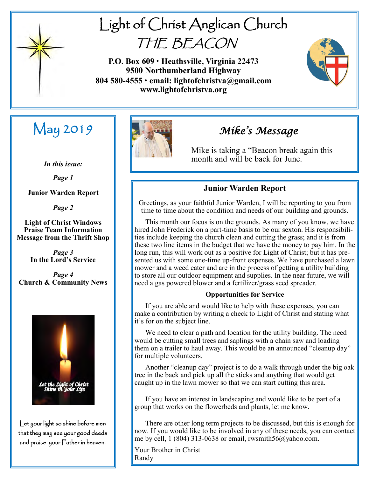

# Light of Christ Anglican Church THE BEACON

**P.O. Box 609 • Heathsville, Virginia 22473 9500 Northumberland Highway 804 580-4555 • email: lightofchristva@gmail.com www.lightofchristva.org**



# May 2019

*In this issue:*

*Page 1*

**Junior Warden Report**

*Page 2*

**Light of Christ Windows Praise Team Information Message from the Thrift Shop**

> *Page 3* **In the Lord's Service**

*Page 4* **Church & Community News**



Let your light so shine before men that they may see your good deeds and praise your Father in heaven.



## *Mike's Message*

Mike is taking a "Beacon break again this month and will be back for June.

### **Junior Warden Report**

Greetings, as your faithful Junior Warden, I will be reporting to you from time to time about the condition and needs of our building and grounds.

 This month our focus is on the grounds. As many of you know, we have hired John Frederick on a part-time basis to be our sexton. His responsibilities include keeping the church clean and cutting the grass; and it is from these two line items in the budget that we have the money to pay him. In the long run, this will work out as a positive for Light of Christ; but it has presented us with some one-time up-front expenses. We have purchased a lawn mower and a weed eater and are in the process of getting a utility building to store all our outdoor equipment and supplies. In the near future, we will need a gas powered blower and a fertilizer/grass seed spreader.

#### **Opportunities for Service**

 If you are able and would like to help with these expenses, you can make a contribution by writing a check to Light of Christ and stating what it's for on the subject line.

 We need to clear a path and location for the utility building. The need would be cutting small trees and saplings with a chain saw and loading them on a trailer to haul away. This would be an announced "cleanup day" for multiple volunteers.

 Another "cleanup day" project is to do a walk through under the big oak tree in the back and pick up all the sticks and anything that would get caught up in the lawn mower so that we can start cutting this area.

 If you have an interest in landscaping and would like to be part of a group that works on the flowerbeds and plants, let me know.

 There are other long term projects to be discussed, but this is enough for now. If you would like to be involved in any of these needs, you can contact me by cell, 1 (804) 313-0638 or email, [rwsmith56@yahoo.com.](mailto:rwsmith56@yahoo.com)

Your Brother in Christ Randy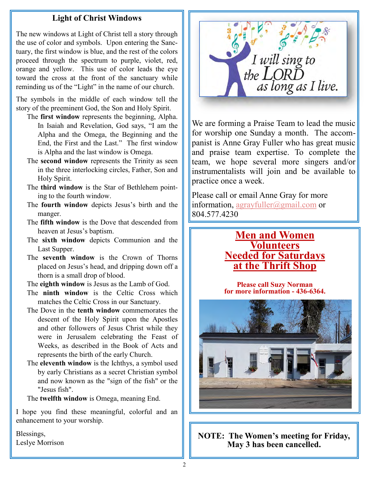#### **Light of Christ Windows**

The new windows at Light of Christ tell a story through the use of color and symbols. Upon entering the Sanctuary, the first window is blue, and the rest of the colors proceed through the spectrum to purple, violet, red, orange and yellow. This use of color leads the eye toward the cross at the front of the sanctuary while reminding us of the "Light" in the name of our church.

The symbols in the middle of each window tell the story of the preeminent God, the Son and Holy Spirit.

- The **first window** represents the beginning, Alpha. In Isaiah and Revelation, God says, "I am the Alpha and the Omega, the Beginning and the End, the First and the Last." The first window is Alpha and the last window is Omega.
- The **second window** represents the Trinity as seen in the three interlocking circles, Father, Son and Holy Spirit.
- The **third window** is the Star of Bethlehem pointing to the fourth window.
- The **fourth window** depicts Jesus's birth and the manger.
- The **fifth window** is the Dove that descended from heaven at Jesus's baptism.
- The **sixth window** depicts Communion and the Last Supper.
- The **seventh window** is the Crown of Thorns placed on Jesus's head, and dripping down off a thorn is a small drop of blood.
- The **eighth window** is Jesus as the Lamb of God.
- The **ninth window** is the Celtic Cross which matches the Celtic Cross in our Sanctuary.
- The Dove in the **tenth window** commemorates the descent of the Holy Spirit upon the Apostles and other followers of Jesus Christ while they were in Jerusalem celebrating the Feast of Weeks, as described in the Book of Acts and represents the birth of the early Church.
- The **eleventh window** is the Ichthys, a symbol used by early Christians as a secret Christian symbol and now known as the "sign of the fish" or the "Jesus fish".

The **twelfth window** is Omega, meaning End.

I hope you find these meaningful, colorful and an enhancement to your worship.

Blessings, Leslye Morrison



We are forming a Praise Team to lead the music for worship one Sunday a month. The accompanist is Anne Gray Fuller who has great music and praise team expertise. To complete the team, we hope several more singers and/or instrumentalists will join and be available to practice once a week.

Please call or email Anne Gray for more information, [agrayfuller@gmail.com](mailto:agrayfuller@gmail.com) or 804.577.4230

## **Men and Women Volunteers Needed for Saturdays at the Thrift Shop**

**Please call Suzy Norman for more information - 436-6364.**



**NOTE: The Women's meeting for Friday, May 3 has been cancelled.**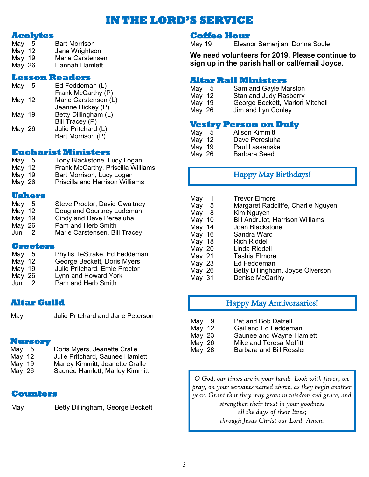## **IE LORD'S SERVI**

#### **Acolytes**

| May 5  | <b>Bart Morrison</b>    |
|--------|-------------------------|
| May 12 | Jane Wrightson          |
| May 19 | <b>Marie Carstensen</b> |
| Mav 26 | Hannah Hamlett          |

#### **Lesson Readers**

| May    | -5 | Ed Feddeman (L)      |
|--------|----|----------------------|
|        |    | Frank McCarthy (P)   |
| May 12 |    | Marie Carstensen (L) |
|        |    | Jeanne Hickey (P)    |
| May 19 |    | Betty Dillingham (L) |
|        |    | Bill Tracey (P)      |
| May 26 |    | Julie Pritchard (L)  |
|        |    | Bart Morrison (P)    |
|        |    |                      |

#### **Eucharist Ministers**

| May      | - 5 | Tony Blackstone, Lucy Logan        |
|----------|-----|------------------------------------|
| May $12$ |     | Frank McCarthy, Priscilla Williams |
| May 19   |     | Bart Morrison, Lucy Logan          |
| May $26$ |     | Priscilla and Harrison Williams    |

#### **Ushers**

| May 5  |   | <b>Steve Proctor, David Gwaltney</b> |
|--------|---|--------------------------------------|
| May 12 |   | Doug and Courtney Ludeman            |
| May 19 |   | Cindy and Dave Peresluha             |
| May 26 |   | Pam and Herb Smith                   |
| Jun    | 2 | Marie Carstensen, Bill Tracey        |

#### **Greeters**

| May 5    | Phyllis TeStrake, Ed Feddeman  |
|----------|--------------------------------|
| May $12$ | George Beckett, Doris Myers    |
| May 19   | Julie Pritchard, Ernie Proctor |
| May $26$ | Lynn and Howard York           |
| Jun      | Pam and Herb Smith             |

#### **Altar Guild**

#### **Nursery**

| May $5$  | Doris Myers, Jeanette Cralle    |
|----------|---------------------------------|
| May $12$ | Julie Pritchard, Saunee Hamlett |
| May $19$ | Marley Kimmitt, Jeanette Cralle |
| May $26$ | Saunee Hamlett, Marley Kimmitt  |

#### **Counters**

May Betty Dillingham, George Beckett

#### **Coffee Hour**

May 19 Eleanor Semerjian, Donna Soule

**We need volunteers for 2019. Please continue to sign up in the parish hall or call/email Joyce.**

#### **Altar Rail Ministers**

| May<br>-5 | Sam and Gayle Marston           |
|-----------|---------------------------------|
| May $12$  | Stan and Judy Rasberry          |
| May 19    | George Beckett, Marion Mitchell |
| May 26    | Jim and Lyn Conley              |

#### **Vestry Person on Duty**

| May | <b>Alison Kimmitt</b> |
|-----|-----------------------|

- May 12 Dave Peresluha<br>May 19 Paul Lassanske May 19 Paul Lassanske<br>May 26 Barbara Seed
	- Barbara Seed

## Happy May Birthdays!

| - 1<br>May<br>May 5<br>May 8<br>May 10<br>May 14<br>May 16<br>May 18 | <b>Trevor Elmore</b><br>Margaret Radcliffe, Charlie Nguyen<br>Kim Nguyen<br><b>Bill Andrulot, Harrison Williams</b><br>Joan Blackstone<br>Sandra Ward<br><b>Rich Riddell</b> |
|----------------------------------------------------------------------|------------------------------------------------------------------------------------------------------------------------------------------------------------------------------|
| May 20                                                               | Linda Riddell                                                                                                                                                                |
| May 21                                                               | Tashia Elmore                                                                                                                                                                |
| May 23                                                               | <b>Ed Feddeman</b>                                                                                                                                                           |
| May 26<br>May 31                                                     | Betty Dillingham, Joyce Olverson<br>Denise McCarthy                                                                                                                          |

### Happy May Anniversaries!

- May 9 Pat and Bob Dalzell<br>May 12 Gail and Ed Feddem
	- Gail and Ed Feddeman
- May 23 Saunee and Wayne Hamlett
- May 26 Mike and Teresa Moffitt
- May 28 Barbara and Bill Ressler

*O God, our times are in your hand: Look with favor, we pray, on your servants named above, as they begin another year. Grant that they may grow in wisdom and grace, and strengthen their trust in your goodness all the days of their lives; through Jesus Christ our Lord. Amen.*